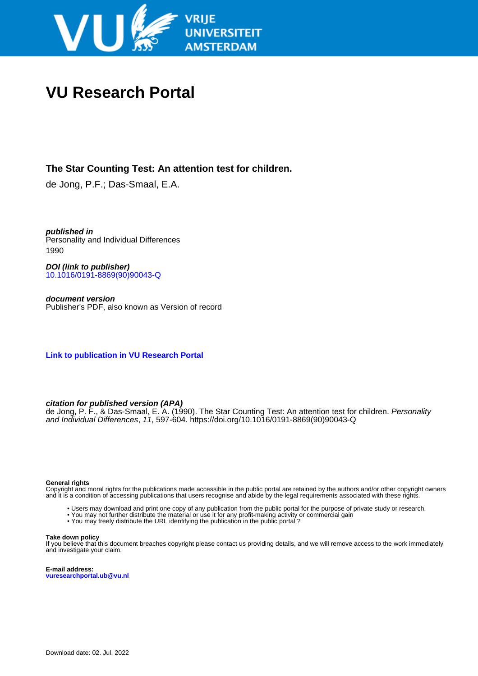

# **VU Research Portal**

# **The Star Counting Test: An attention test for children.**

de Jong, P.F.; Das-Smaal, E.A.

**published in** Personality and Individual Differences 1990

**DOI (link to publisher)** [10.1016/0191-8869\(90\)90043-Q](https://doi.org/10.1016/0191-8869(90)90043-Q)

**document version** Publisher's PDF, also known as Version of record

**[Link to publication in VU Research Portal](https://research.vu.nl/en/publications/06fcb444-beed-41af-af11-0421f341084d)**

## **citation for published version (APA)**

de Jong, P. F., & Das-Smaal, E. A. (1990). The Star Counting Test: An attention test for children. *Personality* and Individual Differences, 11, 597-604. [https://doi.org/10.1016/0191-8869\(90\)90043-Q](https://doi.org/10.1016/0191-8869(90)90043-Q)

## **General rights**

Copyright and moral rights for the publications made accessible in the public portal are retained by the authors and/or other copyright owners and it is a condition of accessing publications that users recognise and abide by the legal requirements associated with these rights.

- Users may download and print one copy of any publication from the public portal for the purpose of private study or research.
- You may not further distribute the material or use it for any profit-making activity or commercial gain
- You may freely distribute the URL identifying the publication in the public portal ?

## **Take down policy**

If you believe that this document breaches copyright please contact us providing details, and we will remove access to the work immediately and investigate your claim.

**E-mail address: vuresearchportal.ub@vu.nl**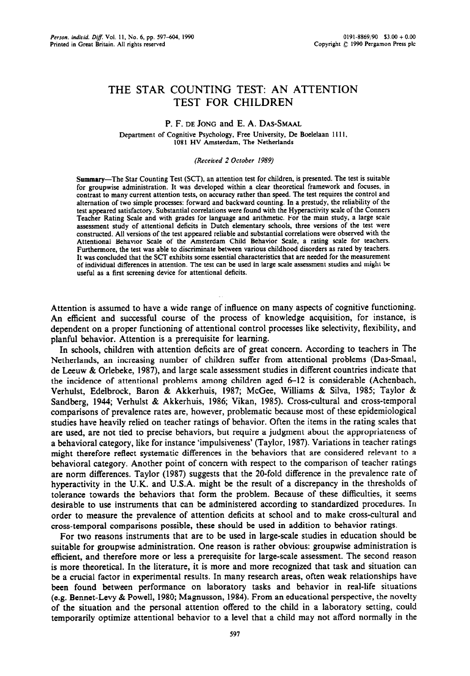## **THE STAR COUNTING TEST: AN ATTENTION TEST FOR CHILDREN**

## P. F. **DE JONG** and E. A. DAS-SMAAL

Department of Cognitive Psychology, Free University, De Boelelaan 1111, 1081 HV Amsterdam. The Netherlands

#### *(Received 2 October 1989)*

Summary-The Star Counting Test (SCT), an attention test for children, is presented. The test is suitable for groupwise administration. It was developed within a clear theoretical framework and focuses, in contrast to many current attention tests, on accuracy rather than speed. The test requires the control and alternation of two simple processes: forward and backward counting. In a prestudy, the reliability of the test appeared satisfactory. Substantial correlations were found with the Hyperactivity scale of the Conners Teacher Rating Scale and with grades for language and arithmetic. For the main study, a large scale assessment study of attentional deficits in Dutch elementary schools, three versions of the test were constructed. **All** versions of the test appeared reliable and substantial correlations were observed with the Attentional Behavior Scale of the Amsterdam Child Behavior Scale, a rating scale for teachers. Furthermore, the test was able to discriminate between various childhood disorders as rated by teachers. It was concluded that the SCT exhibits some essential characteristics that are needed for the measurement of individual differences in attention. The test can be used in large scale assessment studies and might be useful as a first screening **device** for attentional deficits.

Attention is assumed to have a wide range of influence on many aspects of cognitive functioning. An efficient and successful course of the process of knowledge acquisition, for instance, is dependent on a proper functioning of attentional control processes like selectivity, flexibility, and planful behavior. Attention is a prerequisite for learning.

In schools, children with attention deficits are of great concern. According to teachers in The Netherlands, an increasing number of children suffer from attentional problems (Das-Smaal, de Leeuw & Orlebeke, 1987), and large scale assessment studies in different countries indicate that the incidence of attentional problems among children aged 6-12 is considerable (Achenbach, Verhulst, Edelbrock, Baron & Akkerhuis, 1987; McGee, Williams & Silva, 1985; Taylor & Sandberg, 1944; Verhulst & Akkerhuis, 1986; Vikan, 1985). Cross-cultural and cross-temporal comparisons of prevalence rates are, however, problematic because most of these epidemiological studies have heavily relied on teacher ratings of behavior. Often the items in the rating scales that are used, are not tied to precise behaviors, but require a judgment about the appropriateness of a behavioral category, like for instance 'impulsiveness' (Taylor, 1987). Variations in teacher ratings might therefore reflect systematic differences in the behaviors that are considered relevant to a behavioral category. Another point of concern with respect to the comparison of teacher ratings are norm differences. Taylor (1987) suggests that the 20-fold difference in the prevalence rate of hyperactivity in the U.K. and U.S.A. might be the result of a discrepancy in the thresholds of tolerance towards the behaviors that form the problem. Because of these difficulties, it seems desirable to use instruments that can be administered according to standardized procedures. In order to measure the prevalence of attention deficits at school and to make cross-cultural and cross-temporal comparisons possible, these should be used in addition to behavior ratings.

For two reasons instruments that are to be used in large-scale studies in education should be suitable for groupwise administration. One reason is rather obvious: groupwise administration is efficient, and therefore more or less a prerequisite for large-scale assessment. The second reason is more theoretical. In the literature, it is more and more recognized that task and situation can be a crucial factor in experimental results. In many research areas, often weak relationships have been found between performance on laboratory tasks and behavior in real-life situations (e.g. Bennet-Levy & Powell, 1980; Magnusson, 1984). From an educational perspective, the novelty of the situation and the personal attention offered to the child in a laboratory setting, could temporarily optimize attentional behavior to a level that a child may not afford normally in the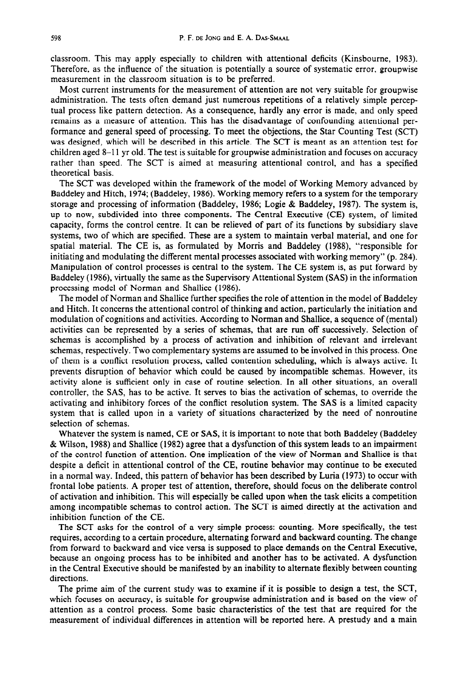classroom. This may apply especially to children with attentional deficits (Kinsbourne, 1983). Therefore, as the influence of the situation is potentially a source of systematic error, groupwise measurement in the classroom situation is to be preferred.

Most current instruments for the measurement of attention are not very suitable for groupwise administration. The tests often demand just numerous repetitions of a relatively simple perceptual process like pattern detection. As a consequence, hardly any error is made, and only speed remains as a measure of attention. This has the disadvantage of confounding attentional performance and general speed of processing. To meet the objections, the Star Counting Test (XT) was designed, which will be described in this article. The SCT is meant as an attention test for children aged 8-11 yr old. The test is suitable for groupwise administration and focuses on accuracy rather than speed. The SCT is aimed at measuring attentional control, and has a specified theoretical basis.

The SCT was developed within the framework of the model of Working Memory advanced by Baddeley and Hitch, 1974; (Baddeley, 1986). Working memory refers to a system for the temporary storage and processing of information (Baddeley, 1986; Logie & Baddeley, 1987). The system is, up to now, subdivided into three components. The Central Executive (CE) system, of limited capacity, forms the control centre. It can be relieved of part of its functions by subsidiary slave systems, two of which are specified. These are a system to maintain verbal material, and one for spatial material. The CE is, as formulated by Morris and Baddeley (1988), "responsible for initiating and modulating the different mental processes associated with working memory" (p. 284). Manipulation of control processes is central to the system. The CE system is, as put forward by Baddeley (1986), virtually the same as the Supervisory Attentional System (SAS) in the information processing model of Norman and Shallice (1986).

The model of Norman and Shallice further specifies the role of attention in the model of Baddeley and Hitch. It concerns the attentional control of thinking and action, particularly the initiation and modulation of cognitions and activities. According to Norman and Shallice, a sequence of (mental) activities can be represented by a series of schemas, that are run off successively. Selection of schemas is accomplished by a process of activation and inhibition of relevant and irrelevant schemas, respectively. Two complementary systems are assumed to be involved in this process. One of them is a conflict resolution process, called contention scheduling, which is always active. It prevents disruption of behavior which could be caused by incompatible schemas. However, its activity alone is sufficient only in case of routine selection. In all other situations, an overall controller, the SAS, has to be active. It serves to bias the activation of schemas, to override the activating and inhibitory forces of the conflict resolution system. The SAS is a limited capacity system that is called upon in a variety of situations characterized by the need of nonroutine selection of schemas.

Whatever the system is named, CE or SAS, it is important to note that both Baddeley (Baddeley & Wilson, 1988) and Shallice (1982) agree that a dysfunction of this system leads to an impairment of the control function of attention. One implication of the view of Norman and Shallice is that despite a deficit in attentional control of the CE, routine behavior may continue to be executed in a normal way. Indeed, this pattern of behavior has been described by Luria (1973) to occur with frontal lobe patients. A proper test of attention, therefore, should focus on the deliberate control of activation and inhibition. This will especially be called upon when the task elicits a competition among incompatible schemas to control action. The SCT is aimed directly at the activation and inhibition function of the CE.

The SCT asks for the control of a very simple process: counting. More specifically, the test requires, according to a certain procedure, alternating forward and backward counting. The change from forward to backward and vice versa is supposed to place demands on the Central Executive, because an ongoing process has to be inhibited and another has to be activated. A dysfunction in the Central Executive should be manifested by an inability to alternate flexibly between counting directions.

The prime aim of the current study was to examine if it is possible to design a test, the SCT, which focuses on accuracy, is suitable for groupwise administration and is based on the view of attention as a control process. Some basic characteristics of the test that are required for the measurement of individual differences in attention will be reported here. A prestudy and a main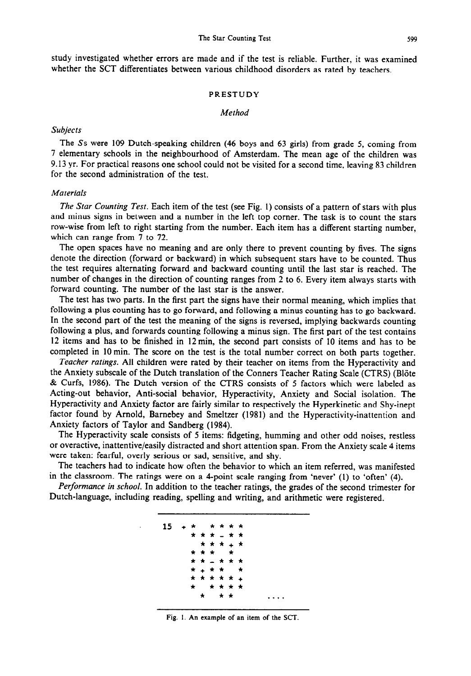study investigated whether errors are made and if the test is reliable. Further, it was examined whether the SCT differentiates between various childhood disorders as rated by teachers.

## PRESTUDY

## *Method*

## *Subjects*

The Ss were 109 Dutch-speaking children (46 boys and 63 girls) from grade 5, coming from 7 elementary schools in the neighbourhood of Amsterdam. The mean age of the children was 9.13 yr. For practical reasons one school could not be visited for a second time, leaving 83 children for the second administration of the test.

## *Materials*

*The Star Counting Test.* Each item of the test (see Fig. 1) consists of a pattern of stars with plus and minus signs in between and a number in the left top corner. The task is to count the stars row-wise from left to right starting from the number. Each item has a different starting number, which can range from 7 to 72.

The open spaces have no meaning and are only there to prevent counting by fives. The signs denote the direction (forward or backward) in which subsequent stars have to be counted. Thus the test requires alternating forward and backward counting until the last star is reached. The number of changes in the direction of counting ranges from 2 to 6. Every item always starts with forward counting. The number of the last star is the answer.

The test has two parts. In the first part the signs have their normal meaning, which implies that following a plus counting has to go forward, and following a minus counting has to go backward. In the second part of the test the meaning of the signs is reversed, implying backwards counting following a plus, and forwards counting following a minus sign. The first part of the test contains 12 items and has to be finished in 12min, the second part consists of 10 items and has to be completed in 10 min. The score on the test is the total number correct on both parts together.

*Teacher ratings.* All children were rated by their teacher on items from the Hyperactivity and the Anxiety subscale of the Dutch translation of the Conners Teacher Rating Scale (CTRS) (Blöte & Curfs, 1986). The Dutch version of the CTRS consists of 5 factors which were labeled as Acting-out behavior, Anti-social behavior, Hyperactivity, Anxiety and Social isolation. The Hyperactivity and Anxiety factor are fairly similar to respectively the Hyperkinetic and Shy-inept factor found by Arnold, Bamebey and Smeltzer (1981) and the Hyperactivity-inattention and Anxiety factors of Taylor and Sandberg (1984).

The Hyperactivity scale consists of 5 items: fidgeting, humming and other odd noises, restless or overactive, inattentive/easily distracted and short attention span. From the Anxiety scale 4 items were taken: fearful, overly serious or sad, sensitive, and shy.

The teachers had to indicate how often the behavior to which an item referred, was manifested in the classroom. The ratings were on a 4-point scale ranging from 'never' (1) to 'often' (4).

*Performance in school.* In addition to the teacher ratings, the grades of the second trimester for Dutch-language, including reading, spelling and writing, and arithmetic were registered.

> $15 + \star + \star \star$ \*It\*\_\*\* \*\*\*+\* \*\*\* \* \*\*\_ \*\*\* \*+\*\* \* \*\*\*\*\*+ \* \*\*\*\* \* \* \* ....

**Fig. I. An example of an item of the SCT.**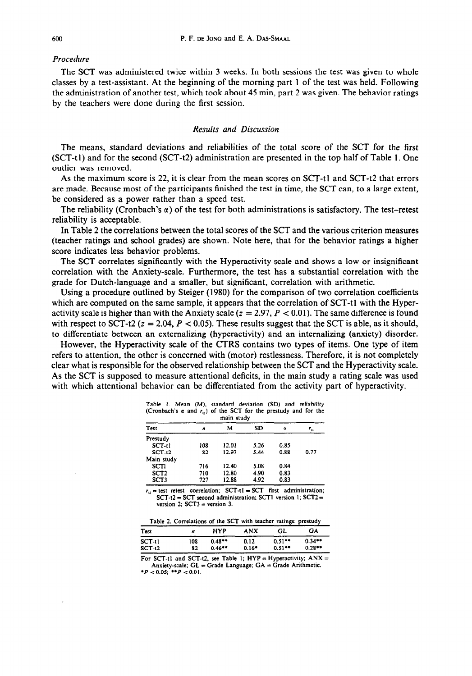## *Procedure*

The SCT was administered twice within 3 weeks. In both sessions the test was given to whole classes by a test-assistant. At the beginning of the morning part 1 of the test was held. Following the administration of another test, which took about 45 min, part 2 was given. The behavior ratings by the teachers were done during the first session.

## *Results and Discussion*

The means, standard deviations and reliabilities of the total score of the SCT for the first (SCT-t 1) and for the second (SCT-t2) administration are presented in the top half of Table 1. One outlier was removed.

As the maximum score is 22, it is clear from the mean scores on SCT-tl and SCT-t2 that errors are made. Because most of the participants finished the test in time, the SCT can, to a large extent, be considered as a power rather than a speed test.

The reliability (Cronbach's  $\alpha$ ) of the test for both administrations is satisfactory. The test-retest reliability is acceptable.

In Table 2 the correlations between the total scores of the SCT and the various criterion measures (teacher ratings and school grades) are shown. Note here, that for the behavior ratings a higher score indicates less behavior problems.

The SCT correlates significantly with the Hyperactivity-scale and shows a low or insignificant correlation with the Anxiety-scale. Furthermore, the test has a substantial correlation with the grade for Dutch-language and a smaller, but significant, correlation with arithmetic.

Using a procedure outlined by Steiger (1980) for the comparison of two correlation coefficients which are computed on the same sample, it appears that the correlation of SCT-tl with the Hyperactivity scale is higher than with the Anxiety scale  $(z = 2.97, P < 0.01)$ . The same difference is found with respect to SCT-t2 ( $z = 2.04$ ,  $P < 0.05$ ). These results suggest that the SCT is able, as it should, to differentiate between an externalizing (hyperactivity) and an internalizing (anxiety) disorder.

However, the Hyperactivity scale of the CTRS contains two types of items. One type of item refers to attention, the other is concerned with (motor) restlessness. Therefore, it is not completely clear what is responsible for the observed relationship between the SCT and the Hyperactivity scale. As the SCT is supposed to measure attentional deficits, in the main study a rating scale was used with which attentional behavior can be differentiated from the activity part of hyperactivity.

Table I. Mean (M), standard deviation (SD) and reliability (Cronbach's  $\alpha$  and  $r_{\rm{u}}$ ) of the SCT for the prestudy and for the main study

| Test             | n   | м     | SD   | α    | $r_{\rm u}$ |
|------------------|-----|-------|------|------|-------------|
| Prestudy         |     |       |      |      |             |
| $SCT-t1$         | 108 | 12.01 | 5.26 | 0.85 |             |
| $SCT-t2$         | 82  | 12.97 | 5.44 | 0.88 | 0.77        |
| Main study       |     |       |      |      |             |
| SCTI             | 716 | 12.40 | 5.08 | 0.84 |             |
| SCT <sub>2</sub> | 710 | 12.80 | 4.90 | 0.83 |             |
| SCT3             | 727 | 12.88 | 4.92 | 0.83 |             |
|                  |     |       |      |      |             |

 $r_{\rm u}$  = test-retest correlation; **SCT-11 = SCT** first administration; SCT-t2 = SCT second administration; SCTI version I; SCT2= version 2;  $SCT3 = version 3$ .

| Table 2. Correlations of the SCT with teacher ratings: prestudy |  |
|-----------------------------------------------------------------|--|
|-----------------------------------------------------------------|--|

| Test     | n   | HYP      | ANX     | GL.       | GА        |
|----------|-----|----------|---------|-----------|-----------|
| SCT-t1   | 108 | $0.48**$ | 0.12    | $0.51***$ | $0.34**$  |
| $SCT-12$ | 82  | $0.46**$ | $0.16*$ | $0.51***$ | $0.28***$ |
|          |     |          |         |           |           |

For SCT-tl and SCT-t2, see Table 1;  $HYP = Hyperactivity$ ;  $ANX =$ Anxiety-scale; GL = Grade Language; GA = Grade Arithmetic.  $\binom{P}{P}$  < 0.05;  $\binom{P}{P}$  < 0.01.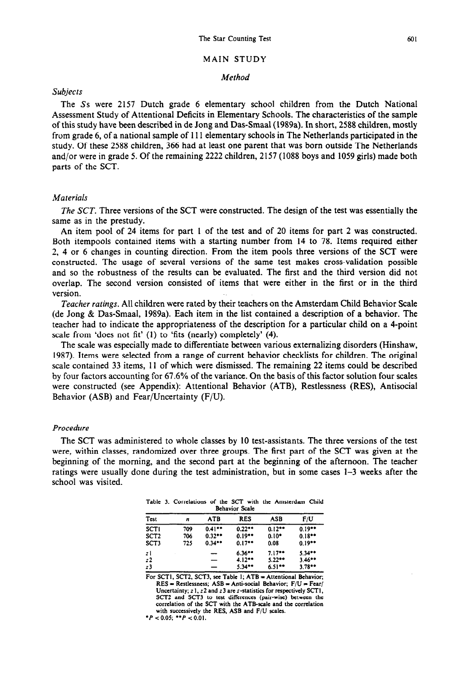## MAIN STUDY

## *Method*

## *Subjects*

The Ss were 2157 Dutch grade 6 elementary school children from the Dutch National Assessment Study of Attentional Deficits in Elementary Schools. The characteristics of the sample of this study have been described in de Jong and DasSmaal(1989a). In short, 2588 children, mostly from grade 6, of a national sample of 111 elementary schools in The Netherlands participated in the study. Of these 2588 children, 366 had at least one parent that was born outside The Netherlands and/or were in grade 5. Of the remaining 2222 children, 2157 (1088 boys and 1059 girls) made both parts of the SCT.

## *Materials*

*The SCT.* Three versions of the SCT were constructed. The design of the test was essentially the same as in the prestudy.

An item pool of 24 items for part 1 of the test and of 20 items for part 2 was constructed. Both itempools contained items with a starting number from 14 to 78. Items required either 2, 4 or 6 changes in counting direction. From the item pools three versions of the SCT were constructed. The usage of several versions of the same test makes cross-validation possible and so the robustness of the results can be evaluated. The first and the third version did not overlap. The second version consisted of items that were either in the first or in the third version.

*Teacher ratings.* All children were rated by their teachers on the Amsterdam Child Behavior Scale (de Jong & Das-Smaal, 1989a). Each item in the list contained a description of a behavior. The teacher had to indicate the appropriateness of the description for a particular child on a 4-point scale from 'does not fit' (1) to 'fits (nearly) completely' (4).

The scale was especially made to differentiate between various externalizing disorders (Hinshaw, 1987). Items were selected from a range of current behavior checklists for children. The original scale contained 33 items, 11 of which were dismissed. The remaining 22 items could be described by four factors accounting for 67.6% of the variance. On the basis of this factor solution four scales were constructed (see Appendix): Attentional Behavior (ATB), Restlessness (RES), Antisocial Behavior (ASB) and Fear/Uncertainty (F/U).

### *Procedure*

The SCT was administered to whole classes by 10 test-assistants. The three versions of the test were, within classes, randomized over three groups. The first part of the SCT was given at the beginning of the morning, and the second part at the beginning of the afternoon. The teacher ratings were usually done during the test administration, but in some cases l-3 weeks after the school was visited.

Table 3. Correlations of the SCT with the Amsterdam Child Behavior Scale

| n   | ATB       | <b>RES</b> | ASB       | F/U      |
|-----|-----------|------------|-----------|----------|
| 709 | $0.41***$ | $0.22**$   | $0.12***$ | $0.19**$ |
| 706 | $0.32**$  | $0.19**$   | $0.10*$   | 0.18     |
| 725 | $0.34**$  | 0.17       | 0.08      | $0.19**$ |
|     | --        | $6.36***$  | 7.17      | $5.34**$ |
|     |           | $4.12**$   | 5.22      | $3.46**$ |
|     |           | $5.34**$   | $6.51**$  | $3.78**$ |
|     |           |            |           |          |

for SCTI. SCTZ, SCT3, see Table I; ATB = Attentional Behavior;  $RES = Restlessness$ ;  $ASB = Anti-social Behavior$ ;  $F/U = Fear/$ Uncertainty; z 1, z 2 and z 3 are z-statistics for respectively SCT1, SCT2 and SCT3 to test differences (pair-wise) between the correlation of the SCT with the ATB-scale and the correlation with successively the RES, ASB and  $F/U$  scales.

 $P < 0.05$ ; \*\*P < 0.01.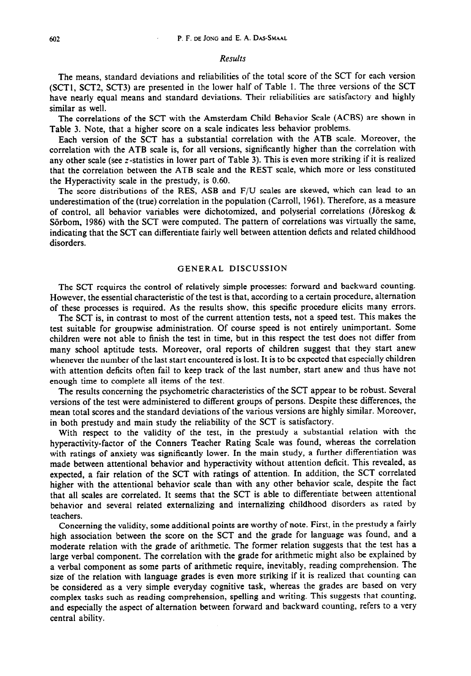## *Results*

The means, standard deviations and reliabilities of the total score of the SCT for each version (SCTl, SCTZ, SCT3) are presented in the lower half of Table 1. The three versions of the SCT have nearly equal means and standard deviations. Their reliabilities are satisfactory and highly similar as well.

The correlations of the SCT with the Amsterdam Child Behavior Scale (ACBS) are shown in Table 3. Note, that a higher score on a scale indicates less behavior problems.

Each version of the SCT has a substantial correlation with the ATB scale. Moreover, the correlation with the ATB scale is, for all versions, significantly higher than the correlation with any other scale (see z-statistics in lower part of Table 3). This is even more striking if it is realized that the correlation between the ATB scale and the REST scale, which more or less constituted the Hyperactivity scale in the prestudy, is 0.60.

The score distributions of the RES, ASB and F/U scales are skewed, which can lead to an underestimation of the (true) correlation in the population (Carroll, 1961). Therefore, as a measure of control, all behavior variables were dichotomized, and polyserial correlations (Jöreskog  $\&$ Sörbom, 1986) with the SCT were computed. The pattern of correlations was virtually the same, indicating that the SCT can differentiate fairly well between attention deficts and related childhood disorders.

## GENERAL DISCUSSION

The SCT requires the control of relatively simple processes: forward and backward counting. However, the essential characteristic of the test is that, according to a certain procedure, alternation of these processes is required. As the results show, this specific procedure elicits many errors.

The SCT is, in contrast to most of the current attention tests, not a speed test. This makes the test suitable for groupwise administration. Of course speed is not entirely unimportant. Some children were not able to finish the test in time, but in this respect the test does not differ from many school aptitude tests. Moreover, oral reports of children suggest that they start anew whenever the number of the last start encountered is lost. It is to be expected that especially children with attention deficits often fail to keep track of the last number, start anew and thus have not enough time to complete all items of the test.

The results concerning the psychometric characteristics of the SCT appear to be robust. Several versions of the test were administered to different groups of persons. Despite these differences, the mean total scores and the standard deviations of the various versions are highly similar. Moreover, in both prestudy and main study the reliability of the SCT is satisfactory.

With respect to the validity of the test, in the prestudy a substantial relation with the hyperactivity-factor of the Conners Teacher Rating Scale was found, whereas the correlation with ratings of anxiety was significantly lower. In the main study, a further differentiation was made between attentional behavior and hyperactivity without attention deficit. This revealed, as expected, a fair relation of the SCT with ratings of attention. In addition, the SCT correlated higher with the attentional behavior scale than with any other behavior scale, despite the fact that all scales are correlated. It seems that the SCT is able to differentiate between attentional behavior and several related externalizing and internalizing childhood disorders as rated by teachers.

Concerning the validity, some additional points are worthy of note. First, in the prestudy a fairly high association between the score on the SCT and the grade for language was found, and a moderate relation with the grade of arithmetic. The former relation suggests that the test has a large verbal component. The correlation with the grade for arithmetic might also be explained by a verbal component as some parts of arithmetic require, inevitably, reading comprehension. The size of the relation with language grades is even more striking if it is realized that counting can be considered as a very simple everyday cognitive task, whereas the grades are based on very complex tasks such as reading comprehension, spelling and writing. This suggests that counting, and especially the aspect of alternation between forward and backward counting, refers to a very central ability.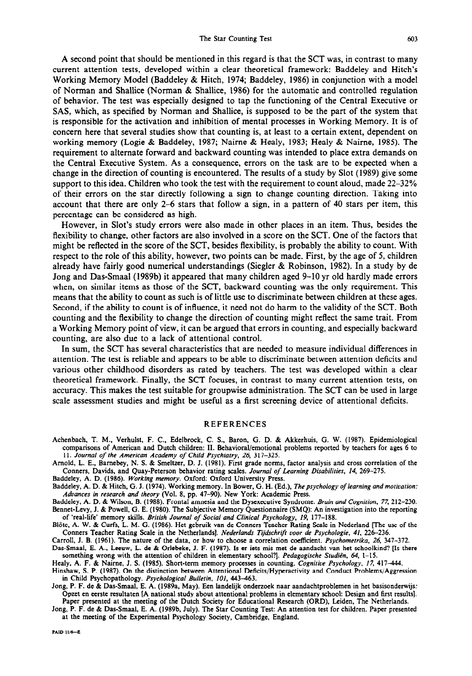A second point that should be mentioned in this regard is that the SCT was, in contrast to many current attention tests, developed within a clear theoretical framework: Baddeley and Hitch's Working Memory Model (Baddeley & Hitch, 1974; Baddeley, 1986) in conjunction with a model of Norman and Shallice (Norman & Shallice, 1986) for the automatic and controlled regulation of behavior. The test was especially designed to tap the functioning of the Central Executive or SAS, which, as specified by Norman and Shallice, is supposed to be the part of the system that is responsible for the activation and inhibition of mental processes in Working Memory. It is of concern here that several studies show that counting is, at least to a certain extent, dependent on working memory (Logie & Baddeley, 1987; Nairne & Healy, 1983; Healy & Nairne, 1985). The requirement to alternate forward and backward counting was intended to place extra demands on the Central Executive System. As a consequence, errors on the task are to be expected when a change in the direction of counting is encountered. The results of a study by Slot (1989) give some support to this idea. Children who took the test with the requirement to count aloud, made 22-32% of their errors on the star directly following a sign to change counting direction. Taking into account that there are only 2-6 stars that follow a sign, in a pattern of 40 stars per item, this percentage can be considered as high.

However, in Slot's study errors were also made in other places in an item. Thus, besides the flexibility to change, other factors are also involved in a score on the SCT. One of the factors that might be reflected in the score of the SCT, besides flexibility, is probably the ability to count. With respect to the role of this ability, however, two points can be made. First, by the age of 5, children already have fairly good numerical understandings (Siegler & Robinson, 1982). In a study by de Jong and Das-Smaal (1989b) it appeared that many children aged 9-10 yr old hardly made errors when, on similar items as those of the SCT, backward counting was the only requirement. This means that the ability to count as such is of little use to discriminate between children at these ages. Second, if the ability to count is of influence, it need not do harm to the validity of the SCT. Both counting and the flexibility to change the direction of counting might reflect the same trait. From a Working Memory point of view, it can be argued that errors in counting, and especially backward counting, are also due to a lack of attentional control.

In sum, the SCT has several characteristics that are needed to measure individual differences in attention. The test is reliable and appears to be able to discriminate between attention deficits and various other childhood disorders as rated by teachers. The test was developed within a clear theoretical framework. Finally, the SCT focuses, in contrast to many current attention tests, on accuracy. This makes the test suitable for groupwise administration. The SCT can be used in large scale assessment studies and might be useful as a first screening device of attentional deficits.

### REFERENCES

- Achenbach, T. M., Verhulst, F. C., Edelbrock, C. S., Baron, G. D. & Akkerhuis, G. W. (1987). Epidemiological comparisons of American and Dutch children: II. Behavioral/emotional problems reported by teachers for ages 6 to 11. Journal of the American Academy of Child Psychiatry, 26, 317-325.
- Arnold, L. E., Bamebey, N. S. & Smeltzer, D. J. (1981). First grade norms, factor analysis and cross correlation of the Conners, Davids, and Quay-Peterson behavior rating scales. *Journal of Learning Disabilities, 14, 269-275.*

Baddeley, A. D. (1986). Working *memory.* Oxford: Oxford University Press.

Baddeley, A. D. & Hitch, G. J. (1974). Working memory. In Bower, G. H. (Ed.), The *psychology of /earning and motivation: Advances in research and theory* (vol. 8, pp. 47-90). New York: Academic Press.

Baddeley, A. D. & Wilson, B. (1988). Frontal amnesia and the Dysexecutive Syndrome. *Brain and Cognition, 77,212-230.*  Bennet-Levy, J. & Powell, G. E. (1980). The Subjective Memory Questionnaire (SMQ): An investigation into the reporting of 'real-life' memory skills. *British Journal of Social and Clinical Psychology,* 19, 177-188.

Blöte, A. W. & Curfs, L. M. G. (1986). Het gebruik van de Conners Teacher Rating Scale in Nederland [The use of the Conners Teacher Rating Scale in the Netherlands]. *Nederlands Tijdschrift voor de Psychologie, 41, 226-236.* 

Carroll, J. B. (1961). The nature of the data. or how to choose a correlation coefficient. *Psvchometrika. 26, 347-372.* 

Das-Smaal, E. A., Leeuw, L. de & Orlebeke, J. F. (1987). Is er iets mis met de aandacht van het schoolkind? [Is there something wrong with the attention of children in elementary school?]. Pedagogische Studiën, 64, 1-15.

Healy, A. F. & Naime, J. S. (1985). Short-term memory processes in counting. *Cognitive Psychology, f7, 417-444.* 

Hinshaw, S. P. (1987). On the distinction between Attentional Deficits/Hyperactivity and Conduct Problems/Aggression in Child Psychopathology. Psychological Bulletin, 101, 443-463.

Jong, P. F. de & Das-Smaal, E. A. (1989a, May). Een landelijk onderxoek naar aandachtproblemen in het basisonderwijs: Opzet en eerste resultaten [A national study about attentional problems in elementary school: Design and first results]. Paper presented at the meeting of the Dutch Society for Educational Research (ORD), Leiden, The Netherlands.

Jong, P. F. de & Das-Smaal, E. A. (1989b, July). The Star Counting Test: An attention test for children. Paper presented at the meeting of the Experimental Psychology Society, Cambridge, England.